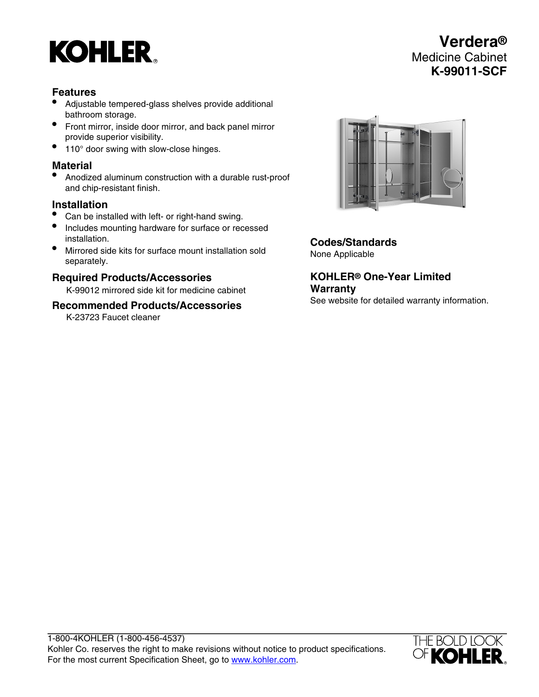# **KOHLER**

# **Verdera®** Medicine Cabinet **K-99011-SCF**

# **Features**

- Adjustable tempered-glass shelves provide additional bathroom storage.
- Front mirror, inside door mirror, and back panel mirror provide superior visibility.
- 110° door swing with slow-close hinges.

# **Material**

• Anodized aluminum construction with a durable rust-proof and chip-resistant finish.

#### **Installation**

- Can be installed with left- or right-hand swing.
- Includes mounting hardware for surface or recessed installation.
- Mirrored side kits for surface mount installation sold separately.

# **Required Products/Accessories**

K-99012 mirrored side kit for medicine cabinet

#### **Recommended Products/Accessories**

K-23723 Faucet cleaner



**Codes/Standards** None Applicable

**KOHLER® One-Year Limited Warranty**

See website for detailed warranty information.